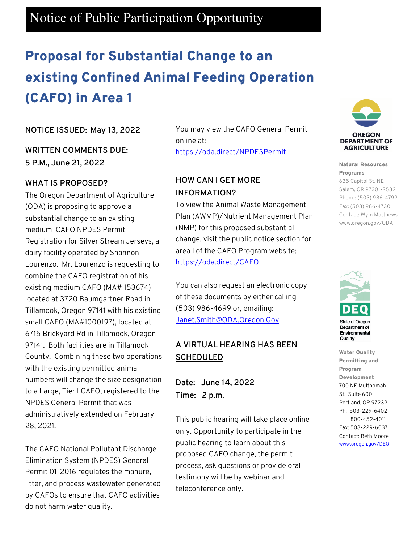## Notice of Public Participation Opportunity

# Proposal for Substantial Change to an existing Confined Animal Feeding Operation (CAFO) in Area 1

### **NOTICE ISSUED: May 13, 2022**

**WRITTEN COMMENTS DUE: 5 P.M., June 21, 2022**

### **WHAT IS PROPOSED?**

The Oregon Department of Agriculture (ODA) is proposing to approve a substantial change to an existing medium CAFO NPDES Permit Registration for Silver Stream Jerseys, a dairy facility operated by Shannon Lourenzo. Mr. Lourenzo is requesting to combine the CAFO registration of his existing medium CAFO (MA# 153674) located at 3720 Baumgartner Road in Tillamook, Oregon 97141 with his existing small CAFO (MA#1000197), located at 6715 Brickyard Rd in Tillamook, Oregon 97141. Both facilities are in Tillamook County. Combining these two operations with the existing permitted animal numbers will change the size designation to a Large, Tier I CAFO, registered to the NPDES General Permit that was administratively extended on February 28, 2021.

The CAFO National Pollutant Discharge Elimination System (NPDES) General Permit 01-2016 regulates the manure, litter, and process wastewater generated by CAFOs to ensure that CAFO activities do not harm water quality.

You may view the CAFO General Permit online at: https://oda.direct/NPDESPermit

### **HOW CAN I GET MORE INFORMATION?**

To view the Animal Waste Management Plan (AWMP)/Nutrient Management Plan (NMP) for this proposed substantial change, visit the public notice section for area I of the CAFO Program website: https://oda.direct/CAFO

You can also request an electronic copy of these documents by either calling (503) 986-4699 or, emailing: Janet.Smith@ODA.Oregon.Gov

### **A VIRTUAL HEARING HAS BEEN SCHEDULED**

**Date: June 14, 2022 Time: 2 p.m.**

This public hearing will take place online only. Opportunity to participate in the public hearing to learn about this proposed CAFO change, the permit process, ask questions or provide oral testimony will be by webinar and teleconference only.



#### Natural Resources Programs

635 Capitol St. NE Salem, OR 97301-2532 Phone: (503) 986-4792 Fax: (503) 986-4730 Contact: Wym Matthews www.oregon.gov/ODA



Department of Environmental Quality

Water Quality Permitting and Program Development 700 NE Multnomah St., Suite 600 Portland, OR 97232 Ph: 503-229-6402 800-452-4011 Fax: 503-229-6037 Contact: Beth Moore www.oregon.gov/DEQ